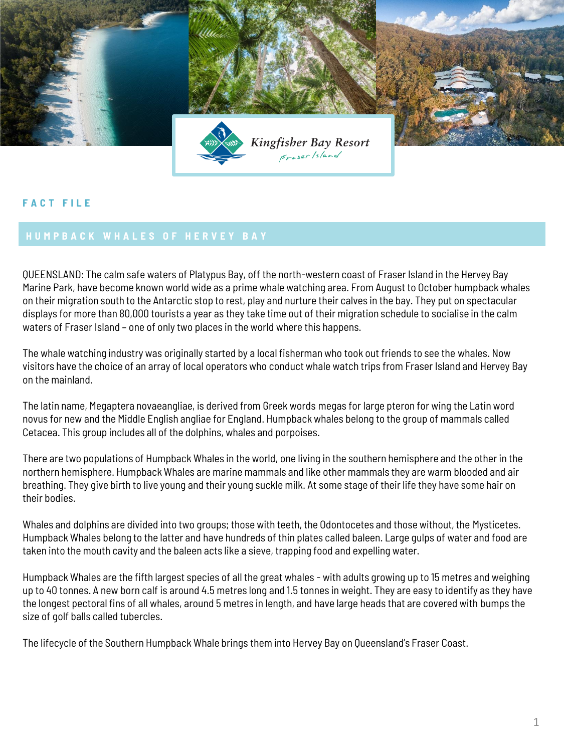

## **F A C T F I L E**

QUEENSLAND: The calm safe waters of Platypus Bay, off the north-western coast of Fraser Island in the Hervey Bay Marine Park, have become known world wide as a prime whale watching area. From August to October humpback whales on their migration south to the Antarctic stop to rest, play and nurture their calves in the bay. They put on spectacular displays for more than 80,000 tourists a year as they take time out of their migration schedule to socialise in the calm waters of Fraser Island – one of only two places in the world where this happens.

The whale watching industry was originally started by a local fisherman who took out friends to see the whales. Now visitors have the choice of an array of local operators who conduct whale watch trips from Fraser Island and Hervey Bay on the mainland.

The latin name, Megaptera novaeangliae, is derived from Greek words megas for large pteron for wing the Latin word novus for new and the Middle English angliae for England. Humpback whales belong to the group of mammals called Cetacea. This group includes all of the dolphins, whales and porpoises.

There are two populations of Humpback Whales in the world, one living in the southern hemisphere and the other in the northern hemisphere. Humpback Whales are marine mammals and like other mammals they are warm blooded and air breathing. They give birth to live young and their young suckle milk. At some stage of their life they have some hair on their bodies.

Whales and dolphins are divided into two groups; those with teeth, the Odontocetes and those without, the Mysticetes. Humpback Whales belong to the latter and have hundreds of thin plates called baleen. Large gulps of water and food are taken into the mouth cavity and the baleen acts like a sieve, trapping food and expelling water.

Humpback Whales are the fifth largest species of all the great whales - with adults growing up to 15 metres and weighing up to 40 tonnes. A new born calf is around 4.5 metres long and 1.5 tonnes in weight. They are easy to identify as they have the longest pectoral fins of all whales, around 5 metres in length, and have large heads that are covered with bumps the size of golf balls called tubercles.

The lifecycle of the Southern Humpback Whale brings them into Hervey Bay on Queensland's Fraser Coast.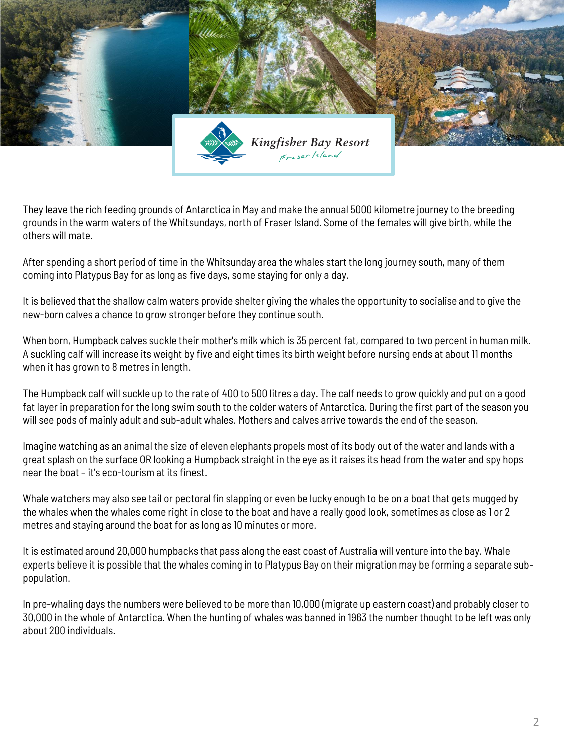

They leave the rich feeding grounds of Antarctica in May and make the annual 5000 kilometre journey to the breeding grounds in the warm waters of the Whitsundays, north of Fraser Island. Some of the females will give birth, while the others will mate.

After spending a short period of time in the Whitsunday area the whales start the long journey south, many of them coming into Platypus Bay for as long as five days, some staying for only a day.

It is believed that the shallow calm waters provide shelter giving the whales the opportunity to socialise and to give the new-born calves a chance to grow stronger before they continue south.

When born, Humpback calves suckle their mother's milk which is 35 percent fat, compared to two percent in human milk. A suckling calf will increase its weight by five and eight times its birth weight before nursing ends at about 11 months when it has grown to 8 metres in length.

The Humpback calf will suckle up to the rate of 400 to 500 litres a day. The calf needs to grow quickly and put on a good fat layer in preparation for the long swim south to the colder waters of Antarctica. During the first part of the season you will see pods of mainly adult and sub-adult whales. Mothers and calves arrive towards the end of the season.

Imagine watching as an animal the size of eleven elephants propels most of its body out of the water and lands with a great splash on the surface OR looking a Humpback straight in the eye as it raises its head from the water and spy hops near the boat – it's eco-tourism at its finest.

Whale watchers may also see tail or pectoral fin slapping or even be lucky enough to be on a boat that gets mugged by the whales when the whales come right in close to the boat and have a really good look, sometimes as close as 1 or 2 metres and staying around the boat for as long as 10 minutes or more.

It is estimated around 20,000 humpbacks that pass along the east coast of Australia will venture into the bay. Whale experts believe it is possible that the whales coming in to Platypus Bay on their migration may be forming a separate subpopulation.

In pre-whaling days the numbers were believed to be more than 10,000 (migrate up eastern coast) and probably closer to 30,000 in the whole of Antarctica. When the hunting of whales was banned in 1963 the number thought to be left was only about 200 individuals.